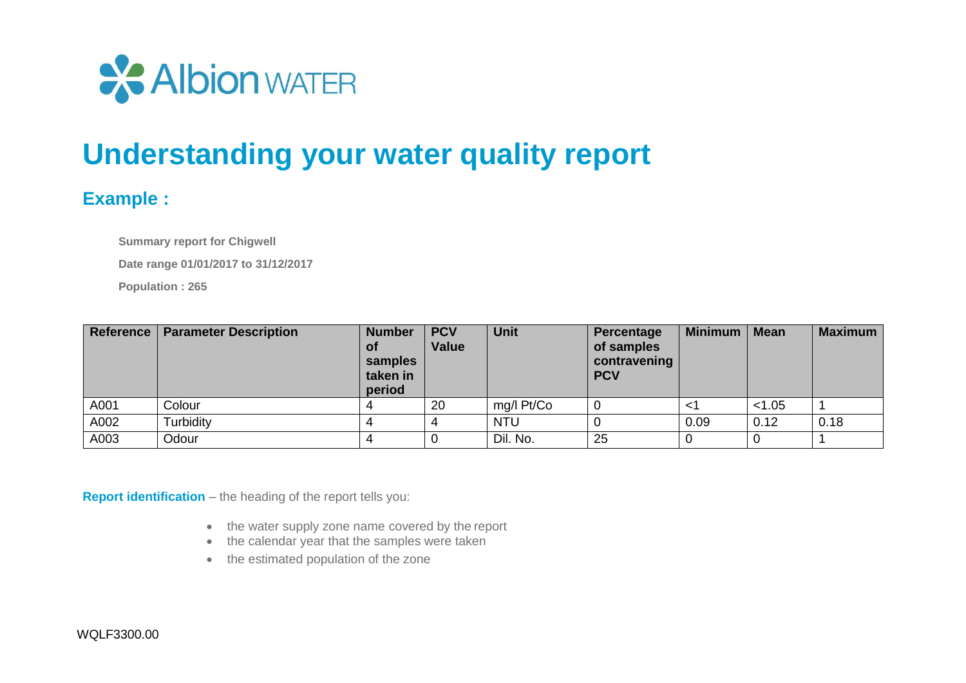

## **Understanding your water quality report**

## **Example :**

**Summary report for Chigwell**

**Date range 01/01/2017 to 31/12/2017**

**Population : 265**

| <b>Reference</b> | <b>Parameter Description</b> | <b>Number</b><br><b>of</b><br>samples<br>taken in<br>period | <b>PCV</b><br><b>Value</b> | <b>Unit</b> | Percentage<br>of samples<br>contravening<br><b>PCV</b> | <b>Minimum</b> | <b>Mean</b> | <b>Maximum</b> |
|------------------|------------------------------|-------------------------------------------------------------|----------------------------|-------------|--------------------------------------------------------|----------------|-------------|----------------|
| A001             | Colour                       |                                                             | 20                         | mg/l Pt/Co  |                                                        | $\lt$ 1        | < 1.05      |                |
| A002             | Turbidity                    |                                                             |                            | <b>NTU</b>  |                                                        | 0.09           | 0.12        | 0.18           |
| A003             | Odour                        |                                                             |                            | Dil. No.    | 25                                                     |                |             |                |

**Report identification** – the heading of the report tells you:

- the water supply zone name covered by the report
- the calendar year that the samples were taken
- the estimated population of the zone